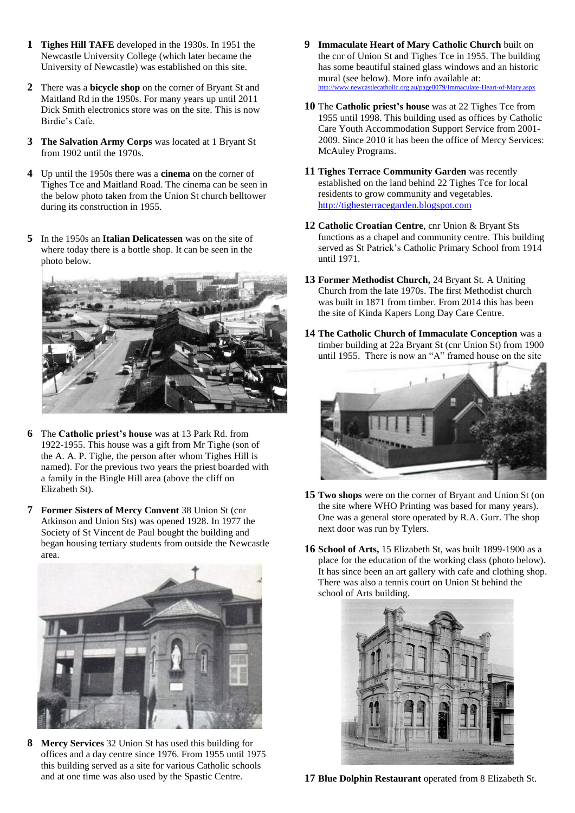- **1 Tighes Hill TAFE** developed in the 1930s. In 1951 the Newcastle University College (which later became the University of Newcastle) was established on this site.
- **2** There was a **bicycle shop** on the corner of Bryant St and Maitland Rd in the 1950s. For many years up until 2011 Dick Smith electronics store was on the site. This is now Birdie's Cafe.
- **3 The Salvation Army Corps** was located at 1 Bryant St from 1902 until the 1970s.
- **4** Up until the 1950s there was a **cinema** on the corner of Tighes Tce and Maitland Road. The cinema can be seen in the below photo taken from the Union St church belltower during its construction in 1955.
- **5** In the 1950s an **Italian Delicatessen** was on the site of where today there is a bottle shop. It can be seen in the photo below.



- **6** The **Catholic priest's house** was at 13 Park Rd. from 1922-1955. This house was a gift from Mr Tighe (son of the A. A. P. Tighe, the person after whom Tighes Hill is named). For the previous two years the priest boarded with a family in the Bingle Hill area (above the cliff on Elizabeth St).
- **7 Former Sisters of Mercy Convent** 38 Union St (cnr Atkinson and Union Sts) was opened 1928. In 1977 the Society of St Vincent de Paul bought the building and began housing tertiary students from outside the Newcastle area.



**8 Mercy Services** 32 Union St has used this building for offices and a day centre since 1976. From 1955 until 1975 this building served as a site for various Catholic schools and at one time was also used by the Spastic Centre.

- **9 Immaculate Heart of Mary Catholic Church** built on the cnr of Union St and Tighes Tce in 1955. The building has some beautiful stained glass windows and an historic mural (see below). More info available at: <http://www.newcastlecatholic.org.au/page8079/Immaculate-Heart-of-Mary.aspx>
- **10** The **Catholic priest's house** was at 22 Tighes Tce from 1955 until 1998. This building used as offices by Catholic Care Youth Accommodation Support Service from 2001- 2009. Since 2010 it has been the office of Mercy Services: McAuley Programs.
- **11 Tighes Terrace Community Garden** was recently established on the land behind 22 Tighes Tce for local residents to grow community and vegetables. [http://tighesterracegarden.blogspot.com](http://tighesterracegarden.blogspot.com/)
- **12 Catholic Croatian Centre**, cnr Union & Bryant Sts functions as a chapel and community centre. This building served as St Patrick's Catholic Primary School from 1914 until 1971.
- **13 Former Methodist Church,** 24 Bryant St. A Uniting Church from the late 1970s. The first Methodist church was built in 1871 from timber. From 2014 this has been the site of Kinda Kapers Long Day Care Centre.
- **14 The Catholic Church of Immaculate Conception** was a timber building at 22a Bryant St (cnr Union St) from 1900 until 1955. There is now an "A" framed house on the site



- **15 Two shops** were on the corner of Bryant and Union St (on the site where WHO Printing was based for many years). One was a general store operated by R.A. Gurr. The shop next door was run by Tylers.
- **16 School of Arts,** 15 Elizabeth St, was built 1899-1900 as a place for the education of the working class (photo below). It has since been an art gallery with cafe and clothing shop. There was also a tennis court on Union St behind the school of Arts building.



**17 Blue Dolphin Restaurant** operated from 8 Elizabeth St.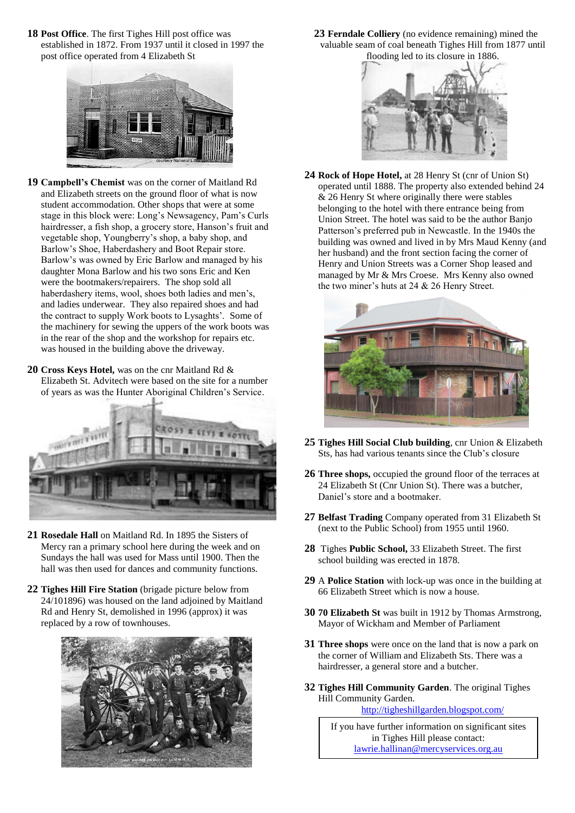**18 Post Office**. The first Tighes Hill post office was established in 1872. From 1937 until it closed in 1997 the post office operated from 4 Elizabeth St



- **19 Campbell's Chemist** was on the corner of Maitland Rd and Elizabeth streets on the ground floor of what is now student accommodation. Other shops that were at some stage in this block were: Long's Newsagency, Pam's Curls hairdresser, a fish shop, a grocery store, Hanson's fruit and vegetable shop, Youngberry's shop, a baby shop, and Barlow's Shoe, Haberdashery and Boot Repair store. Barlow's was owned by Eric Barlow and managed by his daughter Mona Barlow and his two sons Eric and Ken were the bootmakers/repairers. The shop sold all haberdashery items, wool, shoes both ladies and men's, and ladies underwear. They also repaired shoes and had the contract to supply Work boots to Lysaghts'. Some of the machinery for sewing the uppers of the work boots was in the rear of the shop and the workshop for repairs etc. was housed in the building above the driveway.
- **20 Cross Keys Hotel,** was on the cnr Maitland Rd & Elizabeth St. Advitech were based on the site for a number of years as was the Hunter Aboriginal Children's Service.



- **21 Rosedale Hall** on Maitland Rd. In 1895 the Sisters of Mercy ran a primary school here during the week and on Sundays the hall was used for Mass until 1900. Then the hall was then used for dances and community functions.
- **22 Tighes Hill Fire Station** (brigade picture below from 24/101896) was housed on the land adjoined by Maitland Rd and Henry St, demolished in 1996 (approx) it was replaced by a row of townhouses.



**23 Ferndale Colliery** (no evidence remaining) mined the valuable seam of coal beneath Tighes Hill from 1877 until flooding led to its closure in 1886.



**24 Rock of Hope Hotel,** at 28 Henry St (cnr of Union St) operated until 1888. The property also extended behind 24 & 26 Henry St where originally there were stables belonging to the hotel with there entrance being from Union Street. The hotel was said to be the author Banjo Patterson's preferred pub in Newcastle. In the 1940s the building was owned and lived in by Mrs Maud Kenny (and her husband) and the front section facing the corner of Henry and Union Streets was a Corner Shop leased and managed by Mr & Mrs Croese. Mrs Kenny also owned the two miner's huts at 24 & 26 Henry Street.



- **25 Tighes Hill Social Club building**, cnr Union & Elizabeth Sts, has had various tenants since the Club's closure
- **26 Three shops,** occupied the ground floor of the terraces at 24 Elizabeth St (Cnr Union St). There was a butcher, Daniel's store and a bootmaker.
- **27 Belfast Trading** Company operated from 31 Elizabeth St (next to the Public School) from 1955 until 1960.
- **28** Tighes **Public School,** 33 Elizabeth Street. The first school building was erected in 1878.
- **29** A **Police Station** with lock-up was once in the building at 66 Elizabeth Street which is now a house.
- **30 70 Elizabeth St** was built in 1912 by Thomas Armstrong, Mayor of Wickham and Member of Parliament
- **31 Three shops** were once on the land that is now a park on the corner of William and Elizabeth Sts. There was a hairdresser, a general store and a butcher.
- **32 Tighes Hill Community Garden**. The original Tighes Hill Community Garden.

<http://tigheshillgarden.blogspot.com/>

If you have further information on significant sites in Tighes Hill please contact: [lawrie.hallinan@mercyservices.org.au](mailto:lawrie.hallinan@mercyservices.org.au)